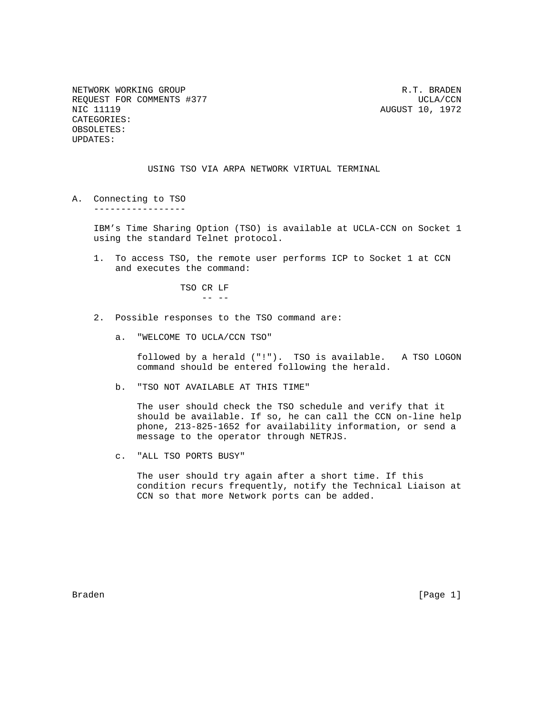NETWORK WORKING GROUP **RADEN SEE ASSESSED AS A RADEN RADEN** R.T. BRADEN REQUEST FOR COMMENTS #377 UCLA/CCN NIC 11119 AUGUST 10, 1972 CATEGORIES: OBSOLETES: UPDATES:

USING TSO VIA ARPA NETWORK VIRTUAL TERMINAL

A. Connecting to TSO -----------------

> IBM's Time Sharing Option (TSO) is available at UCLA-CCN on Socket 1 using the standard Telnet protocol.

 1. To access TSO, the remote user performs ICP to Socket 1 at CCN and executes the command:

> TSO CR LF -- --

- 2. Possible responses to the TSO command are:
	- a. "WELCOME TO UCLA/CCN TSO"

 followed by a herald ("!"). TSO is available. A TSO LOGON command should be entered following the herald.

b. "TSO NOT AVAILABLE AT THIS TIME"

 The user should check the TSO schedule and verify that it should be available. If so, he can call the CCN on-line help phone, 213-825-1652 for availability information, or send a message to the operator through NETRJS.

c. "ALL TSO PORTS BUSY"

 The user should try again after a short time. If this condition recurs frequently, notify the Technical Liaison at CCN so that more Network ports can be added.

Braden [Page 1]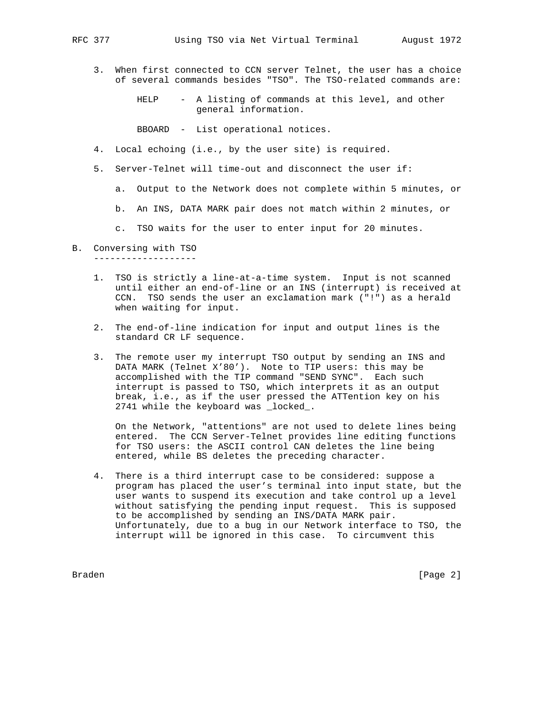3. When first connected to CCN server Telnet, the user has a choice of several commands besides "TSO". The TSO-related commands are:

> HELP - A listing of commands at this level, and other general information.

BBOARD - List operational notices.

- 4. Local echoing (i.e., by the user site) is required.
- 5. Server-Telnet will time-out and disconnect the user if:
	- a. Output to the Network does not complete within 5 minutes, or
	- b. An INS, DATA MARK pair does not match within 2 minutes, or
	- c. TSO waits for the user to enter input for 20 minutes.
- B. Conversing with TSO -------------------
	- 1. TSO is strictly a line-at-a-time system. Input is not scanned until either an end-of-line or an INS (interrupt) is received at CCN. TSO sends the user an exclamation mark ("!") as a herald when waiting for input.
	- 2. The end-of-line indication for input and output lines is the standard CR LF sequence.
	- 3. The remote user my interrupt TSO output by sending an INS and DATA MARK (Telnet X'80'). Note to TIP users: this may be accomplished with the TIP command "SEND SYNC". Each such interrupt is passed to TSO, which interprets it as an output break, i.e., as if the user pressed the ATTention key on his 2741 while the keyboard was \_locked\_.

 On the Network, "attentions" are not used to delete lines being entered. The CCN Server-Telnet provides line editing functions for TSO users: the ASCII control CAN deletes the line being entered, while BS deletes the preceding character.

 4. There is a third interrupt case to be considered: suppose a program has placed the user's terminal into input state, but the user wants to suspend its execution and take control up a level without satisfying the pending input request. This is supposed to be accomplished by sending an INS/DATA MARK pair. Unfortunately, due to a bug in our Network interface to TSO, the interrupt will be ignored in this case. To circumvent this

Braden [Page 2]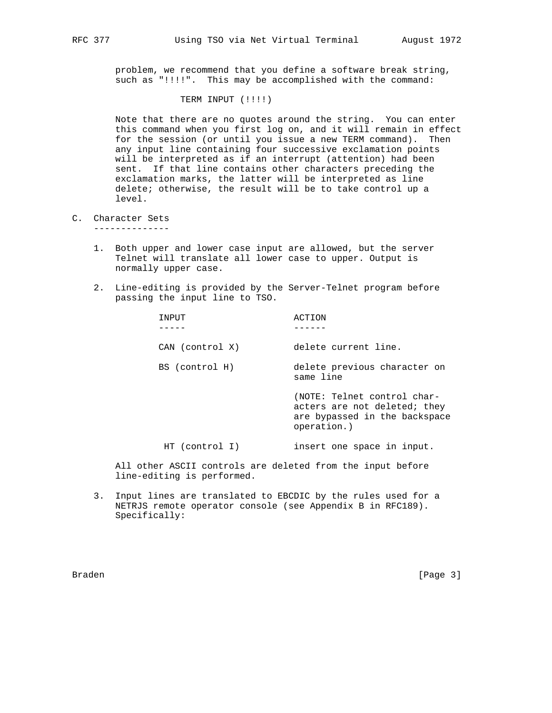problem, we recommend that you define a software break string, such as "!!!!". This may be accomplished with the command:

TERM INPUT (!!!!)

 Note that there are no quotes around the string. You can enter this command when you first log on, and it will remain in effect for the session (or until you issue a new TERM command). Then any input line containing four successive exclamation points will be interpreted as if an interrupt (attention) had been sent. If that line contains other characters preceding the exclamation marks, the latter will be interpreted as line delete; otherwise, the result will be to take control up a level.

- C. Character Sets --------------
	- 1. Both upper and lower case input are allowed, but the server Telnet will translate all lower case to upper. Output is normally upper case.
	- 2. Line-editing is provided by the Server-Telnet program before passing the input line to TSO.

| INPUT           | ACTION                                                                                                      |
|-----------------|-------------------------------------------------------------------------------------------------------------|
| CAN (control X) | delete current line.                                                                                        |
| BS (control H)  | delete previous character on<br>same line                                                                   |
|                 | (NOTE: Telnet control char-<br>acters are not deleted; they<br>are bypassed in the backspace<br>operation.) |
| HT (control I)  | insert one space in input.                                                                                  |

 All other ASCII controls are deleted from the input before line-editing is performed.

 3. Input lines are translated to EBCDIC by the rules used for a NETRJS remote operator console (see Appendix B in RFC189). Specifically:

Braden [Page 3]